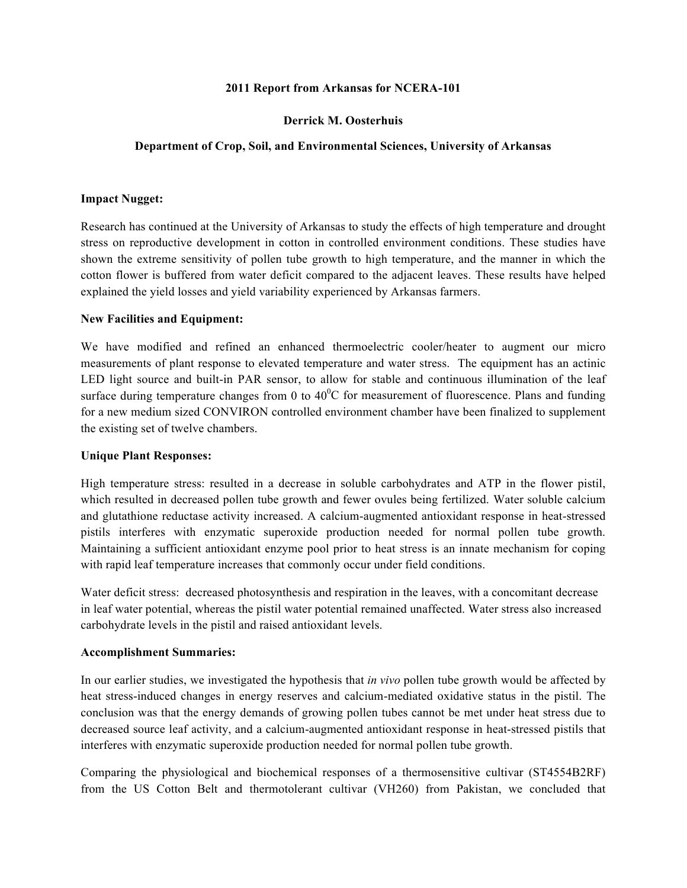### **2011 Report from Arkansas for NCERA-101**

# **Derrick M. Oosterhuis**

# **Department of Crop, Soil, and Environmental Sciences, University of Arkansas**

#### **Impact Nugget:**

Research has continued at the University of Arkansas to study the effects of high temperature and drought stress on reproductive development in cotton in controlled environment conditions. These studies have shown the extreme sensitivity of pollen tube growth to high temperature, and the manner in which the cotton flower is buffered from water deficit compared to the adjacent leaves. These results have helped explained the yield losses and yield variability experienced by Arkansas farmers.

### **New Facilities and Equipment:**

We have modified and refined an enhanced thermoelectric cooler/heater to augment our micro measurements of plant response to elevated temperature and water stress. The equipment has an actinic LED light source and built-in PAR sensor, to allow for stable and continuous illumination of the leaf surface during temperature changes from 0 to  $40^{\circ}$ C for measurement of fluorescence. Plans and funding for a new medium sized CONVIRON controlled environment chamber have been finalized to supplement the existing set of twelve chambers.

#### **Unique Plant Responses:**

High temperature stress: resulted in a decrease in soluble carbohydrates and ATP in the flower pistil, which resulted in decreased pollen tube growth and fewer ovules being fertilized. Water soluble calcium and glutathione reductase activity increased. A calcium-augmented antioxidant response in heat-stressed pistils interferes with enzymatic superoxide production needed for normal pollen tube growth. Maintaining a sufficient antioxidant enzyme pool prior to heat stress is an innate mechanism for coping with rapid leaf temperature increases that commonly occur under field conditions.

Water deficit stress: decreased photosynthesis and respiration in the leaves, with a concomitant decrease in leaf water potential, whereas the pistil water potential remained unaffected. Water stress also increased carbohydrate levels in the pistil and raised antioxidant levels.

#### **Accomplishment Summaries:**

In our earlier studies, we investigated the hypothesis that *in vivo* pollen tube growth would be affected by heat stress-induced changes in energy reserves and calcium-mediated oxidative status in the pistil. The conclusion was that the energy demands of growing pollen tubes cannot be met under heat stress due to decreased source leaf activity, and a calcium-augmented antioxidant response in heat-stressed pistils that interferes with enzymatic superoxide production needed for normal pollen tube growth.

Comparing the physiological and biochemical responses of a thermosensitive cultivar (ST4554B2RF) from the US Cotton Belt and thermotolerant cultivar (VH260) from Pakistan, we concluded that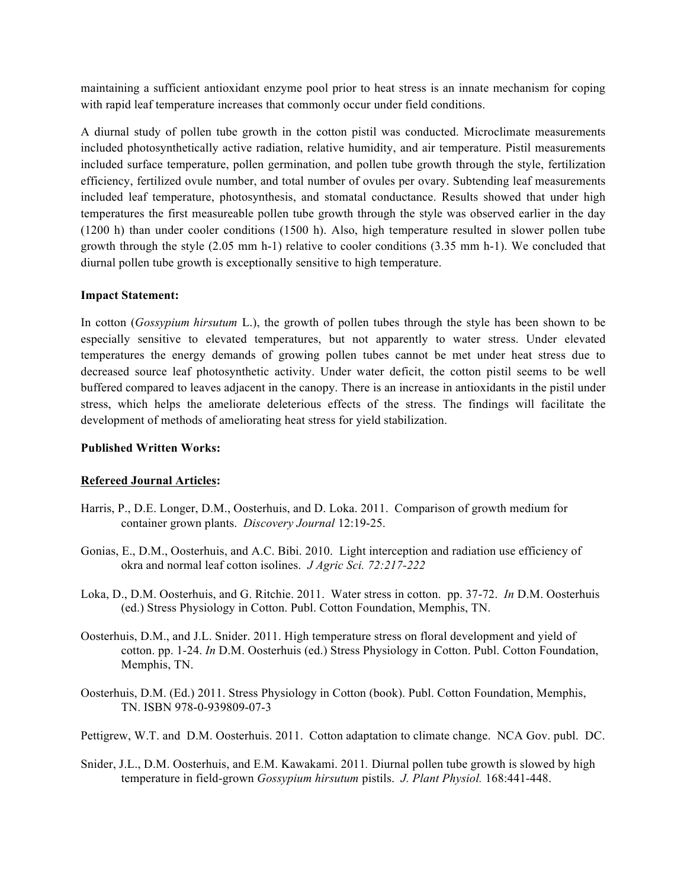maintaining a sufficient antioxidant enzyme pool prior to heat stress is an innate mechanism for coping with rapid leaf temperature increases that commonly occur under field conditions.

A diurnal study of pollen tube growth in the cotton pistil was conducted. Microclimate measurements included photosynthetically active radiation, relative humidity, and air temperature. Pistil measurements included surface temperature, pollen germination, and pollen tube growth through the style, fertilization efficiency, fertilized ovule number, and total number of ovules per ovary. Subtending leaf measurements included leaf temperature, photosynthesis, and stomatal conductance. Results showed that under high temperatures the first measureable pollen tube growth through the style was observed earlier in the day (1200 h) than under cooler conditions (1500 h). Also, high temperature resulted in slower pollen tube growth through the style (2.05 mm h-1) relative to cooler conditions (3.35 mm h-1). We concluded that diurnal pollen tube growth is exceptionally sensitive to high temperature.

# **Impact Statement:**

In cotton (*Gossypium hirsutum* L.), the growth of pollen tubes through the style has been shown to be especially sensitive to elevated temperatures, but not apparently to water stress. Under elevated temperatures the energy demands of growing pollen tubes cannot be met under heat stress due to decreased source leaf photosynthetic activity. Under water deficit, the cotton pistil seems to be well buffered compared to leaves adjacent in the canopy. There is an increase in antioxidants in the pistil under stress, which helps the ameliorate deleterious effects of the stress. The findings will facilitate the development of methods of ameliorating heat stress for yield stabilization.

# **Published Written Works:**

# **Refereed Journal Articles:**

- Harris, P., D.E. Longer, D.M., Oosterhuis, and D. Loka. 2011. Comparison of growth medium for container grown plants.*Discovery Journal* 12:19-25.
- Gonias, E., D.M., Oosterhuis, and A.C. Bibi. 2010. Light interception and radiation use efficiency of okra and normal leaf cotton isolines. *J Agric Sci. 72:217-222*
- Loka, D., D.M. Oosterhuis, and G. Ritchie. 2011. Water stress in cotton. pp. 37-72. *In* D.M. Oosterhuis (ed.) Stress Physiology in Cotton. Publ. Cotton Foundation, Memphis, TN.
- Oosterhuis, D.M., and J.L. Snider. 2011. High temperature stress on floral development and yield of cotton. pp. 1-24. *In* D.M. Oosterhuis (ed.) Stress Physiology in Cotton. Publ. Cotton Foundation, Memphis, TN.
- Oosterhuis, D.M. (Ed.) 2011. Stress Physiology in Cotton (book). Publ. Cotton Foundation, Memphis, TN. ISBN 978-0-939809-07-3
- Pettigrew, W.T. and D.M. Oosterhuis. 2011. Cotton adaptation to climate change. NCA Gov. publ. DC.
- Snider, J.L., D.M. Oosterhuis, and E.M. Kawakami. 2011*.* Diurnal pollen tube growth is slowed by high temperature in field-grown *Gossypium hirsutum* pistils. *J. Plant Physiol.* 168:441-448.